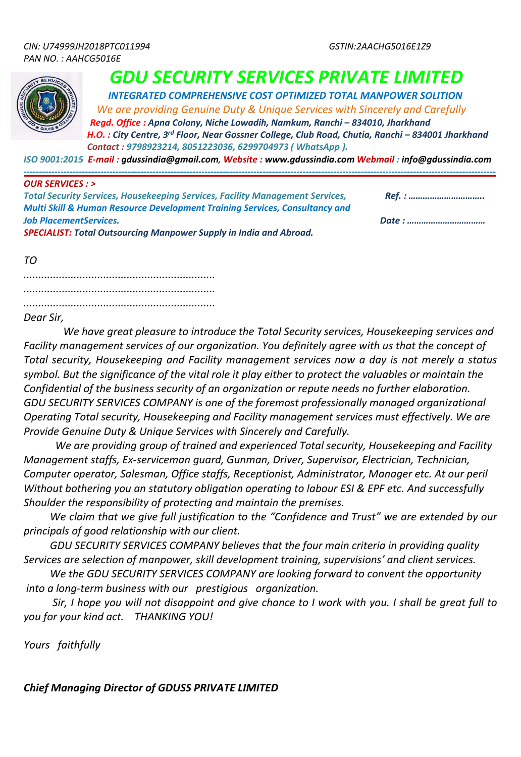

# *GDU SECURITY SERVICES PRIVATE LIMITED* INTEGRATED COMPREHENSIVE COST OPTIMIZED TOTAL MANPOWER SOLITION

 *We are providing Genuine Duty & Unique Services with Sincerely and Carefully*

*Regd. Office : Apna Colony, Niche Lowadih, Namkum, Ranchi – 834010, Jharkhand H.O. : City Centre, 3rd Floor, Near Gossner College, Club Road, Chutia, Ranchi – 834001 Jharkhand Contact : 9798923214, 8051223036, 6299704973 ( WhatsApp ).*

*ISO 9001:2015 E-mail : gdussindia@gmail.com, Website : www.gdussindia.com Webmail : info@gdussindia.com*

#### *---------------------------------------------------------------------------------------------------------------------------------------------------------- OUR SERVICES : >*

| <b>Total Security Services, Housekeeping Services, Facility Management Services,</b>   |       |
|----------------------------------------------------------------------------------------|-------|
| <b>Multi Skill &amp; Human Resource Development Training Services, Consultancy and</b> |       |
| <b>Job PlacementServices.</b>                                                          | Date: |
| <b>SPECIALIST: Total Outsourcing Manpower Supply in India and Abroad.</b>              |       |

*TO*

*................................................................. ................................................................. .................................................................*

## *Dear Sir,*

 *We have great pleasure to introduce the Total Security services, Housekeeping services and Facility management services of our organization. You definitely agree with us that the concept of Total security, Housekeeping and Facility management services now a day is not merely a status symbol. But the significance of the vital role it play either to protect the valuables or maintain the Confidential of the business security of an organization or repute needs no further elaboration. GDU SECURITY SERVICES COMPANY is one of the foremost professionally managed organizational Operating Total security, Housekeeping and Facility management services must effectively. We are Provide Genuine Duty & Unique Services with Sincerely and Carefully.* 

 *We are providing group of trained and experienced Total security, Housekeeping and Facility Management staffs, Ex-serviceman guard, Gunman, Driver, Supervisor, Electrician, Technician, Computer operator, Salesman, Office staffs, Receptionist, Administrator, Manager etc. At our peril Without bothering you an statutory obligation operating to labour ESI & EPF etc. And successfully Shoulder the responsibility of protecting and maintain the premises.*

 *We claim that we give full justification to the "Confidence and Trust" we are extended by our principals of good relationship with our client.* 

 *GDU SECURITY SERVICES COMPANY believes that the four main criteria in providing quality Services are selection of manpower, skill development training, supervisions' and client services.*

 *We the GDU SECURITY SERVICES COMPANY are looking forward to convent the opportunity into a long-term business with our prestigious organization.* 

 *Sir, I hope you will not disappoint and give chance to I work with you. I shall be great full to you for your kind act. THANKING YOU!*

*Yours faithfully*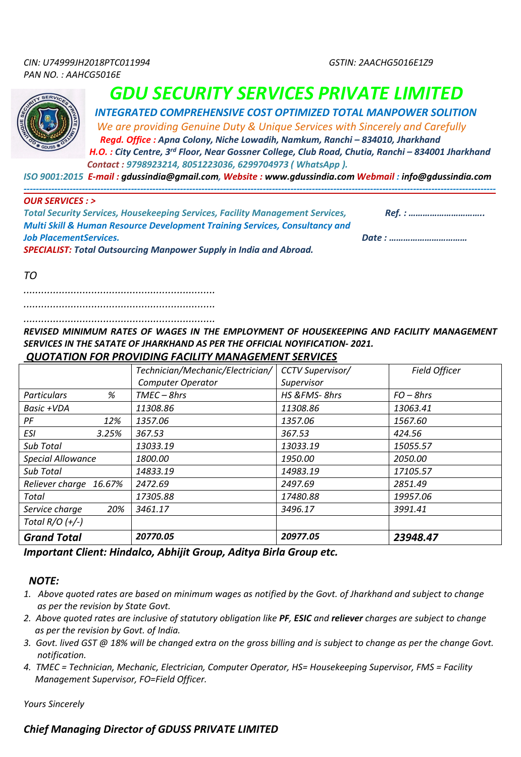

 *INTEGRATED COMPREHENSIVE COST OPTIMIZED TOTAL MANPOWER SOLITION We are providing Genuine Duty & Unique Services with Sincerely and Carefully*

 *Regd. Office : Apna Colony, Niche Lowadih, Namkum, Ranchi – 834010, Jharkhand H.O. : City Centre, 3rd Floor, Near Gossner College, Club Road, Chutia, Ranchi – 834001 Jharkhand*

 *Contact : 9798923214, 8051223036, 6299704973 ( WhatsApp ).*

*ISO 9001:2015 E-mail : gdussindia@gmail.com, Website : www.gdussindia.com Webmail : info@gdussindia.com*

*----------------------------------------------------------------------------------------------------------------------------------------------------------*

### *OUR SERVICES : >*

| <b>Total Security Services, Housekeeping Services, Facility Management Services,</b>   | Ref. : |
|----------------------------------------------------------------------------------------|--------|
| <b>Multi Skill &amp; Human Resource Development Training Services, Consultancy and</b> |        |
| <b>Job PlacementServices.</b>                                                          | Date : |
| <b>SPECIALIST: Total Outsourcing Manpower Supply in India and Abroad.</b>              |        |

*TO*

*.................................................................*

*................................................................. .................................................................*

*REVISED MINIMUM RATES OF WAGES IN THE EMPLOYMENT OF HOUSEKEEPING AND FACILITY MANAGEMENT SERVICES IN THE SATATE OF JHARKHAND AS PER THE OFFICIAL NOYIFICATION- 2021.*

## *QUOTATION FOR PROVIDING FACILITY MANAGEMENT SERVICES*

|                          | Technician/Mechanic/Electrician/ | <b>CCTV Supervisor/</b> | <b>Field Officer</b> |
|--------------------------|----------------------------------|-------------------------|----------------------|
|                          | <b>Computer Operator</b>         | Supervisor              |                      |
| %<br><b>Particulars</b>  | $TMEC-8hrs$                      | HS &FMS-8hrs            | $FO - 8hrs$          |
| Basic +VDA               | 11308.86                         | 11308.86                | 13063.41             |
| PF<br>12%                | 1357.06                          | 1357.06                 | 1567.60              |
| ESI<br>3.25%             | 367.53                           | 367.53                  | 424.56               |
| Sub Total                | 13033.19                         | 13033.19                | 15055.57             |
| <b>Special Allowance</b> | 1800.00                          | 1950.00                 | 2050.00              |
| Sub Total                | 14833.19                         | 14983.19                | 17105.57             |
| Reliever charge 16.67%   | 2472.69                          | 2497.69                 | 2851.49              |
| Total                    | 17305.88                         | 17480.88                | 19957.06             |
| 20%<br>Service charge    | 3461.17                          | 3496.17                 | 3991.41              |
| Total $R/O$ $(+/-)$      |                                  |                         |                      |
| <b>Grand Total</b>       | 20770.05                         | 20977.05                | 23948.47             |

*Important Client: Hindalco, Abhijit Group, Aditya Birla Group etc.* 

## *NOTE:*

- *1. Above quoted rates are based on minimum wages as notified by the Govt. of Jharkhand and subject to change as per the revision by State Govt.*
- *2. Above quoted rates are inclusive of statutory obligation like PF, ESIC and reliever charges are subject to change as per the revision by Govt. of India.*
- *3. Govt. lived GST @ 18% will be changed extra on the gross billing and is subject to change as per the change Govt. notification.*
- *4. TMEC = Technician, Mechanic, Electrician, Computer Operator, HS= Housekeeping Supervisor, FMS = Facility Management Supervisor, FO=Field Officer.*

*Yours Sincerely*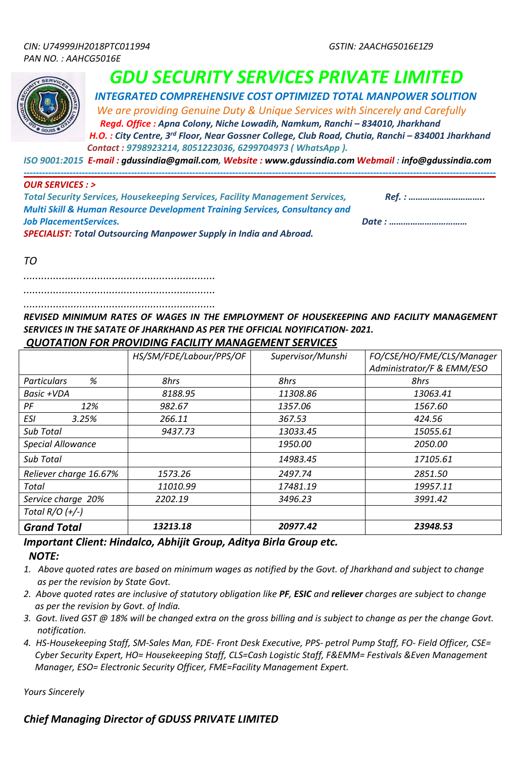

 *INTEGRATED COMPREHENSIVE COST OPTIMIZED TOTAL MANPOWER SOLITION*

 *We are providing Genuine Duty & Unique Services with Sincerely and Carefully Regd. Office : Apna Colony, Niche Lowadih, Namkum, Ranchi – 834010, Jharkhand*

 *H.O. : City Centre, 3rd Floor, Near Gossner College, Club Road, Chutia, Ranchi – 834001 Jharkhand Contact : 9798923214, 8051223036, 6299704973 ( WhatsApp ).*

*----------------------------------------------------------------------------------------------------------------------------------------------------------*

*ISO 9001:2015 E-mail : gdussindia@gmail.com, Website : www.gdussindia.com Webmail : info@gdussindia.com*

### *OUR SERVICES : >*

| <b>Total Security Services, Housekeeping Services, Facility Management Services,</b>   | Ref. : |
|----------------------------------------------------------------------------------------|--------|
| <b>Multi Skill &amp; Human Resource Development Training Services, Consultancy and</b> |        |
| <b>Job PlacementServices.</b>                                                          |        |
| <b>SPECIALIST: Total Outsourcing Manpower Supply in India and Abroad.</b>              |        |

*TO*

*.................................................................*

*.................................................................* 

*.................................................................*

*REVISED MINIMUM RATES OF WAGES IN THE EMPLOYMENT OF HOUSEKEEPING AND FACILITY MANAGEMENT SERVICES IN THE SATATE OF JHARKHAND AS PER THE OFFICIAL NOYIFICATION- 2021. QUOTATION FOR PROVIDING FACILITY MANAGEMENT SERVICES*

|                          | HS/SM/FDE/Labour/PPS/OF | Supervisor/Munshi | FO/CSE/HO/FME/CLS/Manager |
|--------------------------|-------------------------|-------------------|---------------------------|
|                          |                         |                   | Administrator/F & EMM/ESO |
| %<br><b>Particulars</b>  | 8hrs                    | 8hrs              | 8hrs                      |
| Basic +VDA               | 8188.95                 | 11308.86          | 13063.41                  |
| PF<br>12%                | 982.67                  | 1357.06           | 1567.60                   |
| ESI<br>3.25%             | 266.11                  | 367.53            | 424.56                    |
| <b>Sub Total</b>         | 9437.73                 | 13033.45          | 15055.61                  |
| <b>Special Allowance</b> |                         | 1950.00           | 2050.00                   |
| Sub Total                |                         | 14983.45          | 17105.61                  |
| Reliever charge 16.67%   | 1573.26                 | 2497.74           | 2851.50                   |
| Total                    | 11010.99                | 17481.19          | 19957.11                  |
| Service charge 20%       | 2202.19                 | 3496.23           | 3991.42                   |
| Total $R/O (+/-)$        |                         |                   |                           |
| <b>Grand Total</b>       | 13213.18                | 20977.42          | 23948.53                  |

## *Important Client: Hindalco, Abhijit Group, Aditya Birla Group etc. NOTE:*

- *1. Above quoted rates are based on minimum wages as notified by the Govt. of Jharkhand and subject to change as per the revision by State Govt.*
- *2. Above quoted rates are inclusive of statutory obligation like PF, ESIC and reliever charges are subject to change as per the revision by Govt. of India.*
- *3. Govt. lived GST @ 18% will be changed extra on the gross billing and is subject to change as per the change Govt. notification.*
- *4. HS-Housekeeping Staff, SM-Sales Man, FDE- Front Desk Executive, PPS- petrol Pump Staff, FO- Field Officer, CSE= Cyber Security Expert, HO= Housekeeping Staff, CLS=Cash Logistic Staff, F&EMM= Festivals &Even Management Manager, ESO= Electronic Security Officer, FME=Facility Management Expert.*

*Yours Sincerely*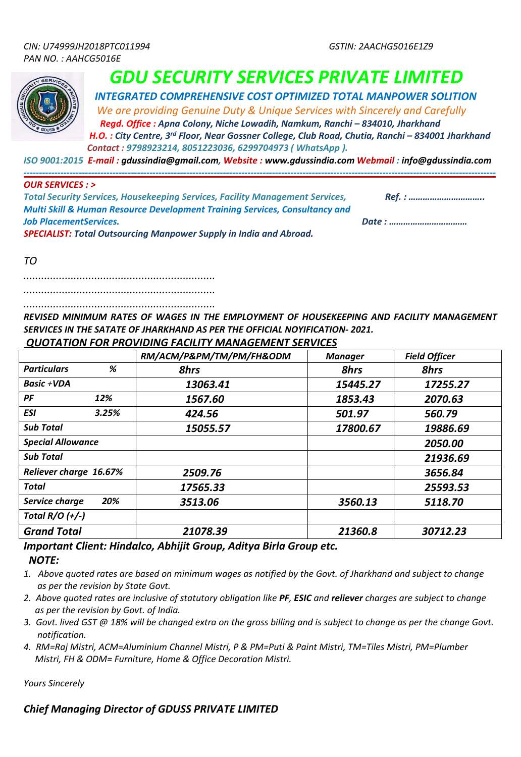

 *INTEGRATED COMPREHENSIVE COST OPTIMIZED TOTAL MANPOWER SOLITION*

 *We are providing Genuine Duty & Unique Services with Sincerely and Carefully Regd. Office : Apna Colony, Niche Lowadih, Namkum, Ranchi – 834010, Jharkhand*

 *H.O. : City Centre, 3rd Floor, Near Gossner College, Club Road, Chutia, Ranchi – 834001 Jharkhand Contact : 9798923214, 8051223036, 6299704973 ( WhatsApp ).*

*----------------------------------------------------------------------------------------------------------------------------------------------------------*

*ISO 9001:2015 E-mail : gdussindia@gmail.com, Website : www.gdussindia.com Webmail : info@gdussindia.com*

### *OUR SERVICES : >*

| <b>Total Security Services, Housekeeping Services, Facility Management Services,</b>   | Ref. : |
|----------------------------------------------------------------------------------------|--------|
| <b>Multi Skill &amp; Human Resource Development Training Services, Consultancy and</b> |        |
| <b>Job PlacementServices.</b>                                                          |        |
| <b>SPECIALIST: Total Outsourcing Manpower Supply in India and Abroad.</b>              |        |

*TO*

*.................................................................*

*.................................................................* 

*.................................................................*

*REVISED MINIMUM RATES OF WAGES IN THE EMPLOYMENT OF HOUSEKEEPING AND FACILITY MANAGEMENT SERVICES IN THE SATATE OF JHARKHAND AS PER THE OFFICIAL NOYIFICATION- 2021. QUOTATION FOR PROVIDING FACILITY MANAGEMENT SERVICES*

|                          |       | RM/ACM/P&PM/TM/PM/FH&ODM | <b>Manager</b> | <b>Field Officer</b> |
|--------------------------|-------|--------------------------|----------------|----------------------|
| <b>Particulars</b>       | %     | <b>8hrs</b>              | <b>8hrs</b>    | <b>8hrs</b>          |
| Basic +VDA               |       | 13063.41                 | 15445.27       | 17255.27             |
| $P$ F                    | 12%   | 1567.60                  | 1853.43        | 2070.63              |
| <b>ESI</b>               | 3.25% | 424.56                   | 501.97         | 560.79               |
| <b>Sub Total</b>         |       | 15055.57                 | 17800.67       | 19886.69             |
| <b>Special Allowance</b> |       |                          |                | 2050.00              |
| <b>Sub Total</b>         |       |                          |                | 21936.69             |
| Reliever charge 16.67%   |       | 2509.76                  |                | 3656.84              |
| <b>Total</b>             |       | 17565.33                 |                | 25593.53             |
| Service charge           | 20%   | 3513.06                  | 3560.13        | 5118.70              |
| Total $R/O$ $(+/-)$      |       |                          |                |                      |
| <b>Grand Total</b>       |       | 21078.39                 | 21360.8        | 30712.23             |

## *Important Client: Hindalco, Abhijit Group, Aditya Birla Group etc. NOTE:*

*1. Above quoted rates are based on minimum wages as notified by the Govt. of Jharkhand and subject to change as per the revision by State Govt.*

- *2. Above quoted rates are inclusive of statutory obligation like PF, ESIC and reliever charges are subject to change as per the revision by Govt. of India.*
- *3. Govt. lived GST @ 18% will be changed extra on the gross billing and is subject to change as per the change Govt. notification.*
- *4. RM=Raj Mistri, ACM=Aluminium Channel Mistri, P & PM=Puti & Paint Mistri, TM=Tiles Mistri, PM=Plumber Mistri, FH & ODM= Furniture, Home & Office Decoration Mistri.*

*Yours Sincerely*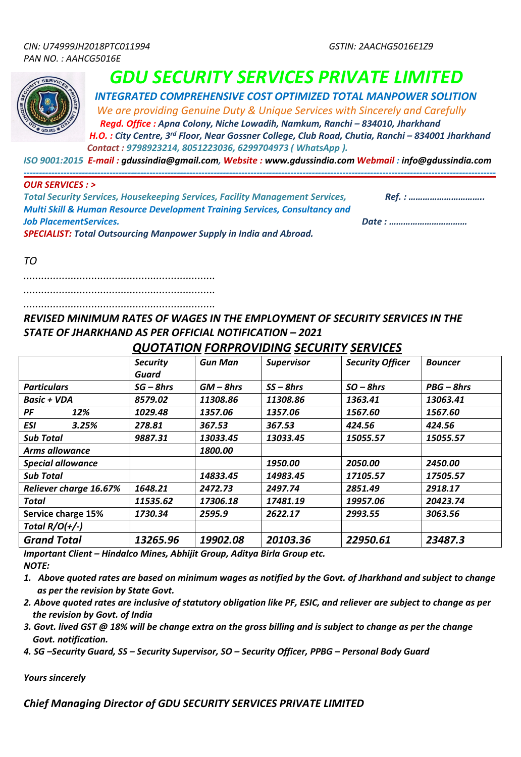*----------------------------------------------------------------------------------------------------------------------------------------------------------*



## *GDU SECURITY SERVICES PRIVATE LIMITED*

 *INTEGRATED COMPREHENSIVE COST OPTIMIZED TOTAL MANPOWER SOLITION*

 *We are providing Genuine Duty & Unique Services with Sincerely and Carefully Regd. Office : Apna Colony, Niche Lowadih, Namkum, Ranchi – 834010, Jharkhand*

 *H.O. : City Centre, 3rd Floor, Near Gossner College, Club Road, Chutia, Ranchi – 834001 Jharkhand Contact : 9798923214, 8051223036, 6299704973 ( WhatsApp ).*

*ISO 9001:2015 E-mail : gdussindia@gmail.com, Website : www.gdussindia.com Webmail : info@gdussindia.com*

### *OUR SERVICES : >*

| <b>Total Security Services, Housekeeping Services, Facility Management Services,</b>   | Ref. : |
|----------------------------------------------------------------------------------------|--------|
| <b>Multi Skill &amp; Human Resource Development Training Services, Consultancy and</b> |        |
| <b>Job PlacementServices.</b>                                                          | Date : |
| <b>SPECIALIST: Total Outsourcing Manpower Supply in India and Abroad.</b>              |        |

*TO*

*.................................................................*

*.................................................................* 

*.................................................................*

*REVISED MINIMUM RATES OF WAGES IN THE EMPLOYMENT OF SECURITY SERVICES IN THE STATE OF JHARKHAND AS PER OFFICIAL NOTIFICATION – 2021*

 *QUOTATION FORPROVIDING SECURITY SERVICES*

|                               | <b>Security</b><br>Guard | <b>Gun Man</b> | <b>Supervisor</b> | <b>Security Officer</b> | <b>Bouncer</b> |
|-------------------------------|--------------------------|----------------|-------------------|-------------------------|----------------|
| <b>Particulars</b>            | $SG - 8 hrs$             | $GM - 8hrs$    | $SS - 8hrs$       | $SO - 8hrs$             | $PBG - 8hrs$   |
| Basic + VDA                   | 8579.02                  | 11308.86       | 11308.86          | 1363.41                 | 13063.41       |
| PF<br>12%                     | 1029.48                  | 1357.06        | 1357.06           | 1567.60                 | 1567.60        |
| <b>ESI</b><br>3.25%           | 278.81                   | 367.53         | 367.53            | 424.56                  | 424.56         |
| <b>Sub Total</b>              | 9887.31                  | 13033.45       | 13033.45          | 15055.57                | 15055.57       |
| <b>Arms allowance</b>         |                          | 1800.00        |                   |                         |                |
| <b>Special allowance</b>      |                          |                | 1950.00           | 2050.00                 | 2450.00        |
| <b>Sub Total</b>              |                          | 14833.45       | 14983.45          | 17105.57                | 17505.57       |
| <b>Reliever charge 16.67%</b> | 1648.21                  | 2472.73        | 2497.74           | 2851.49                 | 2918.17        |
| Total                         | 11535.62                 | 17306.18       | 17481.19          | 19957.06                | 20423.74       |
| Service charge 15%            | 1730.34                  | 2595.9         | 2622.17           | 2993.55                 | 3063.56        |
| Total $R/O(+/-)$              |                          |                |                   |                         |                |
| <b>Grand Total</b>            | 13265.96                 | 19902.08       | 20103.36          | 22950.61                | 23487.3        |

*Important Client – Hindalco Mines, Abhijit Group, Aditya Birla Group etc. NOTE:*

*1. Above quoted rates are based on minimum wages as notified by the Govt. of Jharkhand and subject to change*

- *as per the revision by State Govt. 2. Above quoted rates are inclusive of statutory obligation like PF, ESIC, and reliever are subject to change as per the revision by Govt. of India*
- *3. Govt. lived GST @ 18% will be change extra on the gross billing and is subject to change as per the change Govt. notification.*

*4. SG –Security Guard, SS – Security Supervisor, SO – Security Officer, PPBG – Personal Body Guard* 

*Yours sincerely*

*Chief Managing Director of GDU SECURITY SERVICES PRIVATE LIMITED*